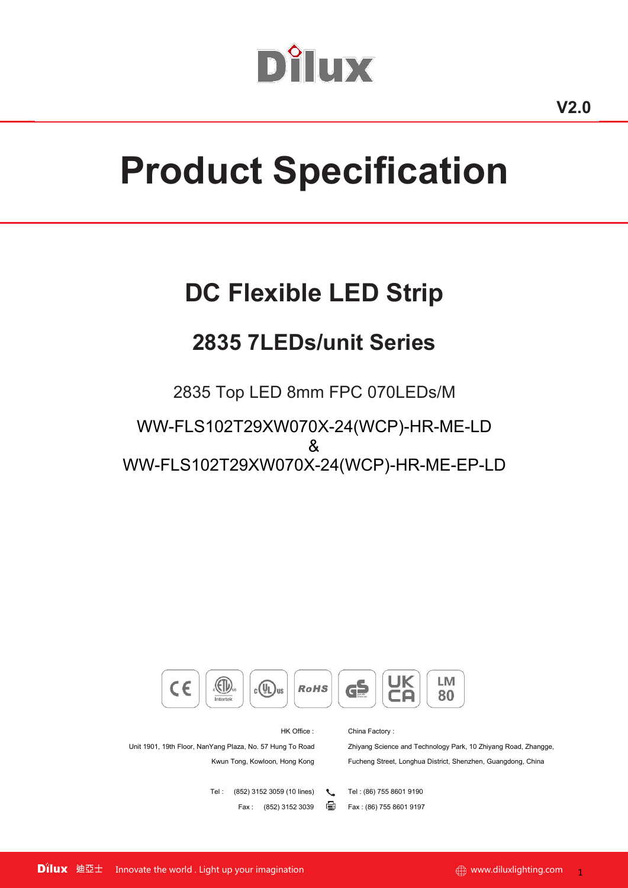# Dîlux

# **Product Specification**

# **DC Flexible LED Strip**

# **2835 7LEDs/unit Series**

2835 Top LED 8mm FPC 070LEDs/M

WW-FLS102T29XW070X-24(WCP)-HR-ME-LD & WW-FLS102T29XW070X-24(WCP)-HR-ME-EP-LD



HK Office : China Factory :

Unit 1901, 19th Floor, NanYang Plaza, No. 57 Hung To Road Zhiyang Science and Technology Park, 10 Zhiyang Road, Zhangge, Kwun Tong, Kowloon, Hong Kong Fucheng Street, Longhua District, Shenzhen, Guangdong, China

> Tel : (852) 3152 3059 (10 lines) \ Tel : (86) 755 8601 9190 Fax : (852) 3152 3039 **Fax** : (86) 755 8601 9197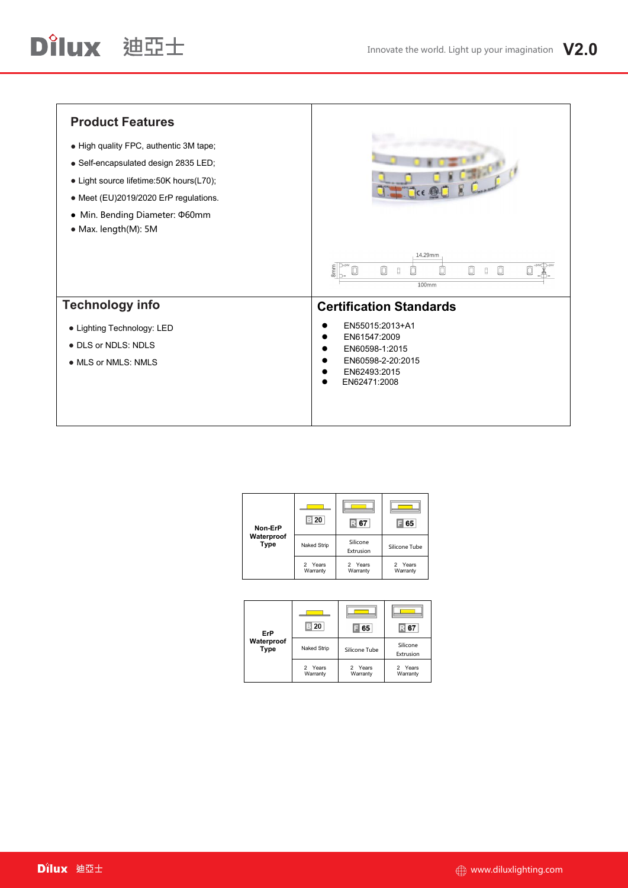| <b>Product Features</b>                   |                                                                                                                                                                               |
|-------------------------------------------|-------------------------------------------------------------------------------------------------------------------------------------------------------------------------------|
| • High quality FPC, authentic 3M tape;    |                                                                                                                                                                               |
| · Self-encapsulated design 2835 LED;      |                                                                                                                                                                               |
| • Light source lifetime: 50K hours (L70); |                                                                                                                                                                               |
| • Meet (EU)2019/2020 ErP regulations.     |                                                                                                                                                                               |
| • Min. Bending Diameter: ¢60mm            |                                                                                                                                                                               |
| • Max. length(M): 5M                      |                                                                                                                                                                               |
|                                           | 14.29mm<br>$D+24V$<br>$+24V$ -241<br>8mm<br>$\Box$<br>$\begin{array}{c} \square \end{array}$<br>0<br>Ø<br>O<br>ō<br>ℿ<br>$\begin{array}{c} \square \end{array}$<br>O<br>100mm |
| <b>Technology info</b>                    | <b>Certification Standards</b>                                                                                                                                                |
| • Lighting Technology: LED                | EN55015:2013+A1                                                                                                                                                               |
| • DLS or NDLS: NDLS                       | EN61547:2009<br>EN60598-1:2015                                                                                                                                                |
| • MLS or NMLS: NMLS                       | EN60598-2-20:2015<br>EN62493:2015<br>EN62471:2008                                                                                                                             |
|                                           |                                                                                                                                                                               |

| Non-ErP                   | ∃ 20                               | 67                    | 65                  |  |
|---------------------------|------------------------------------|-----------------------|---------------------|--|
| Waterproof<br><b>Type</b> | Naked Strip                        | Silicone<br>Extrusion | Silicone Tube       |  |
|                           | Years<br>$\mathcal{P}$<br>Warranty | 2 Years<br>Warranty   | 2 Years<br>Warranty |  |

| ErP                       | 20                  | 65                  | 67                    |
|---------------------------|---------------------|---------------------|-----------------------|
| Waterproof<br><b>Type</b> | Naked Strip         | Silicone Tube       | Silicone<br>Extrusion |
|                           | 2 Years<br>Warranty | 2 Years<br>Warranty | 2 Years<br>Warranty   |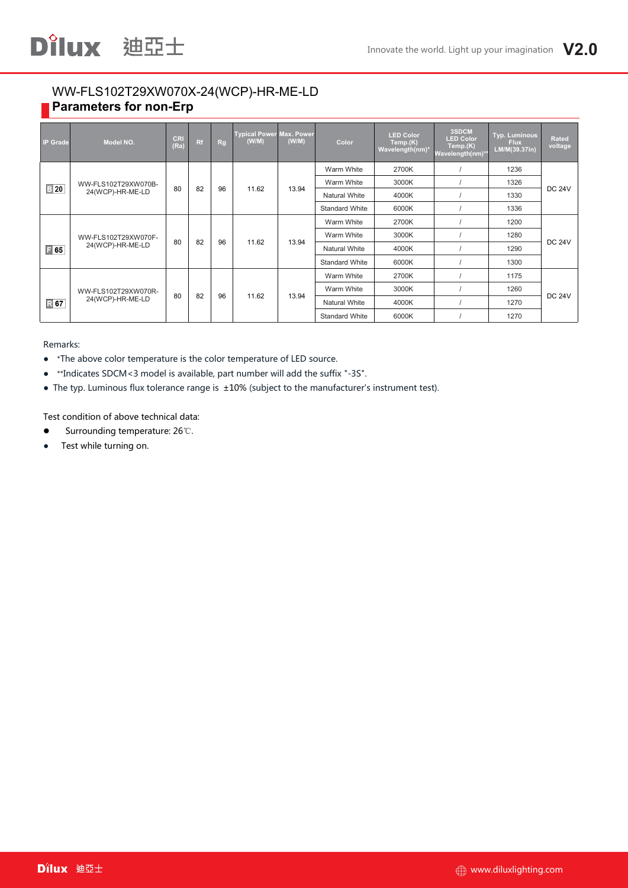## WW-FLS102T29XW070X-24(WCP)-HR-ME-LD **Parameters for non-Erp**

Dilux 迪亞士

| <b>IP Grade</b> | Model NO.           | <b>CRI</b><br>(Ra) | Rf | <b>Rg</b> | <b>Typical Power Max. Power</b><br>(W/M) | (W/M) | Color                 | <b>LED Color</b><br>Temp.(K)<br>Wavelength(nm)* | 3SDCM<br><b>LED Color</b><br>Temp.(K)<br>Wavelength(nm)* | Typ. Luminous<br><b>Flux</b><br>LM/M(39.37in) | Rated<br>voltage |  |
|-----------------|---------------------|--------------------|----|-----------|------------------------------------------|-------|-----------------------|-------------------------------------------------|----------------------------------------------------------|-----------------------------------------------|------------------|--|
|                 |                     |                    |    |           |                                          |       | Warm White            | 2700K                                           |                                                          | 1236                                          |                  |  |
|                 | WW-FLS102T29XW070B- | 80                 |    |           |                                          |       | Warm White            | 3000K                                           |                                                          | 1326                                          | <b>DC 24V</b>    |  |
| $\boxed{3}$ 20  | 24(WCP)-HR-ME-LD    |                    | 82 | 96        | 11.62                                    | 13.94 | <b>Natural White</b>  | 4000K                                           |                                                          | 1330                                          |                  |  |
|                 |                     |                    |    |           |                                          |       | <b>Standard White</b> | 6000K                                           |                                                          | 1336                                          |                  |  |
|                 |                     | 80                 |    |           | 11.62                                    | 13.94 | Warm White            | 2700K                                           |                                                          | 1200                                          |                  |  |
|                 | WW-FLS102T29XW070F- |                    | 82 | 96        |                                          |       | Warm White            | 3000K                                           |                                                          | 1280                                          | <b>DC 24V</b>    |  |
| $\boxed{=} 65$  | 24(WCP)-HR-ME-LD    |                    |    |           |                                          |       | <b>Natural White</b>  | 4000K                                           |                                                          | 1290                                          |                  |  |
|                 |                     |                    |    |           |                                          |       | <b>Standard White</b> | 6000K                                           |                                                          | 1300                                          |                  |  |
|                 |                     |                    |    |           |                                          |       | Warm White            | 2700K                                           |                                                          | 1175                                          |                  |  |
|                 | WW-FLS102T29XW070R- |                    |    | 96        | 11.62                                    | 13.94 | Warm White            | 3000K                                           |                                                          | 1260                                          |                  |  |
| <b>■67</b>      | 24(WCP)-HR-ME-LD    | 80                 | 82 |           |                                          |       | <b>Natural White</b>  | 4000K                                           |                                                          | 1270                                          | <b>DC 24V</b>    |  |
|                 |                     |                    |    |           |                                          |       | <b>Standard White</b> | 6000K                                           |                                                          | 1270                                          |                  |  |

Remarks:

- \*The above color temperature is the color temperature of LED source.
- \*\*Indicates SDCM<3 model is available, part number will add the suffix "-3S".
- The typ. Luminous flux tolerance range is ±10% (subject to the manufacturer's instrument test).

Test condition of above technical data:

- Surrounding temperature: 26℃.
- Test while turning on.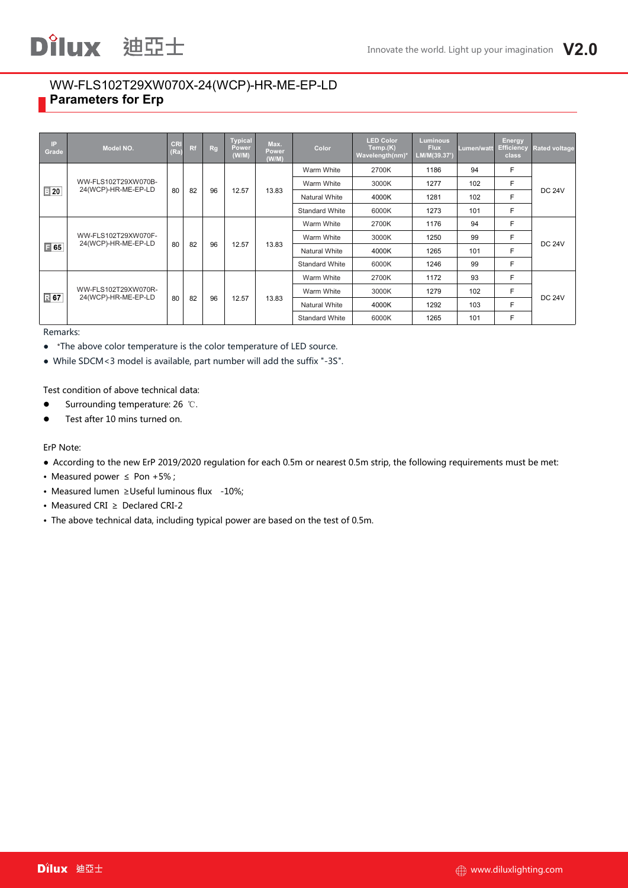### WW-FLS102T29XW070X-24(WCP)-HR-ME-EP-LD **Parameters for Erp**

| IP.<br>Grade                  | Model NO.                                  | <b>CRI</b><br>(Ra) | Rf | Rg    | <b>Typical</b><br>Power<br>(W/M) | Max.<br>Power<br>(W/M) | Color                 | <b>LED Color</b><br>Temp.(K)<br>Wavelength(nm)* | <b>Luminous</b><br><b>Flux</b><br>LM/M(39.37') | Lumen/watt | Energy<br>Efficiency<br><b>class</b> | <b>Rated voltage</b> |
|-------------------------------|--------------------------------------------|--------------------|----|-------|----------------------------------|------------------------|-----------------------|-------------------------------------------------|------------------------------------------------|------------|--------------------------------------|----------------------|
|                               |                                            |                    |    |       |                                  |                        | Warm White            | 2700K                                           | 1186                                           | 94         | F                                    |                      |
|                               | WW-FLS102T29XW070B-                        |                    |    |       |                                  |                        | Warm White            | 3000K                                           | 1277                                           | 102        | F                                    | <b>DC 24V</b>        |
|                               | 24(WCP)-HR-ME-EP-LD<br>$\mathbb{B}$ 20     | 80                 | 82 | 96    | 12.57                            | 13.83                  | <b>Natural White</b>  | 4000K                                           | 1281                                           | 102        | F.                                   |                      |
|                               |                                            |                    |    |       |                                  |                        | <b>Standard White</b> | 6000K                                           | 1273                                           | 101        | F                                    |                      |
|                               |                                            |                    |    |       |                                  | Warm White             | 2700K                 | 1176                                            | 94                                             | F          |                                      |                      |
|                               | WW-FLS102T29XW070F-<br>24(WCP)-HR-ME-EP-LD | 80                 |    | 96    |                                  | 13.83                  | Warm White            | 3000K                                           | 1250                                           | 99         | F                                    | <b>DC 24V</b>        |
| $\boxed{ }$ 65                |                                            |                    | 82 |       | 12.57                            |                        | <b>Natural White</b>  | 4000K                                           | 1265                                           | 101        | F                                    |                      |
|                               |                                            |                    |    |       |                                  |                        | <b>Standard White</b> | 6000K                                           | 1246                                           | 99         | F.                                   |                      |
|                               |                                            |                    |    |       |                                  |                        | Warm White            | 2700K                                           | 1172                                           | 93         | F                                    |                      |
|                               | WW-FLS102T29XW070R-                        |                    |    |       |                                  |                        | Warm White            | 3000K                                           | 1279                                           | 102        | F                                    |                      |
| $R$ 67<br>24(WCP)-HR-ME-EP-LD | 80                                         | 82                 | 96 | 12.57 | 13.83                            | <b>Natural White</b>   | 4000K                 | 1292                                            | 103                                            | F          | <b>DC 24V</b>                        |                      |
|                               |                                            |                    |    |       |                                  |                        | <b>Standard White</b> | 6000K                                           | 1265                                           | 101        | F                                    |                      |

Remarks:

● \*The above color temperature is the color temperature of LED source.

● While SDCM<3 model is available, part number will add the suffix "-3S".

Test condition of above technical data:

- Surrounding temperature: 26 ℃.
- **•** Test after 10 mins turned on.

ErP Note:

- According to the new ErP 2019/2020 regulation for each 0.5m or nearest 0.5m strip, the following requirements must be met:
- Measured power ≤ Pon+5% ;
- Measured lumen ≥Useful luminous flux -10%;
- Measured CRI ≥ Declared CRI-2
- The above technical data, including typical power are based on the test of 0.5m.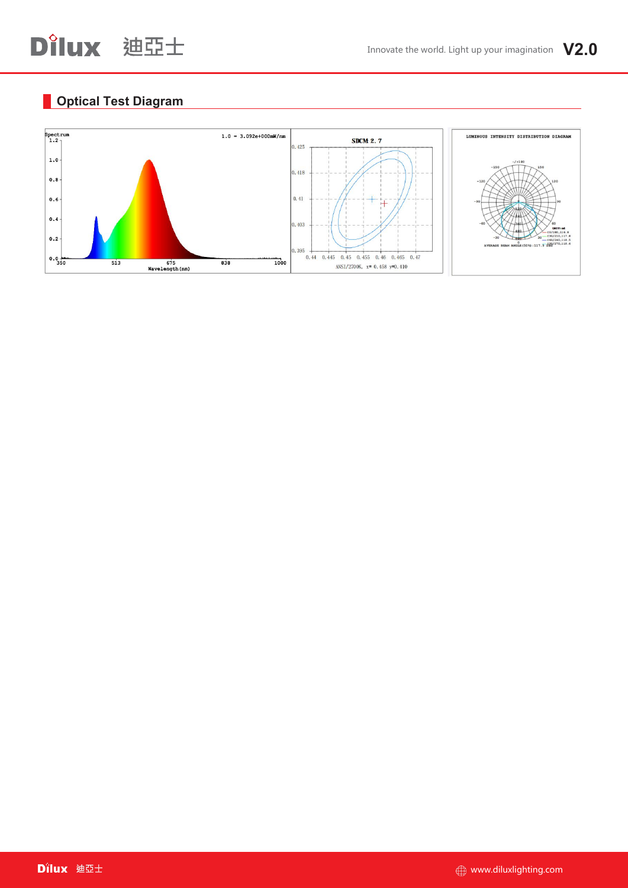# **Optical Test Diagram**

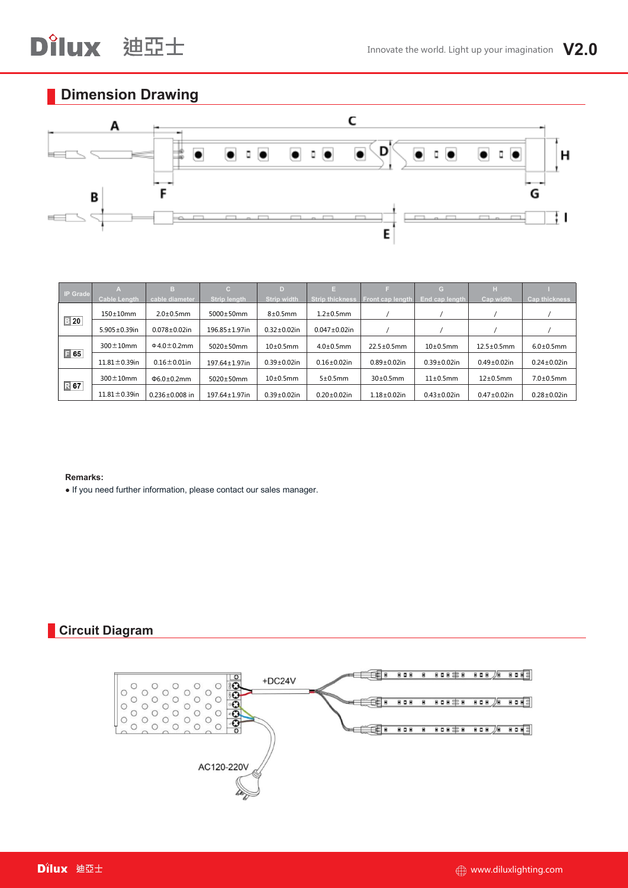# **Dimension Drawing**



|                  |                     | TB.                    | $\mathbf{C}$        |                    | TE.                    |                                 | G.                 | н                  |                      |
|------------------|---------------------|------------------------|---------------------|--------------------|------------------------|---------------------------------|--------------------|--------------------|----------------------|
| <b>IP Grade</b>  | <b>Cable Length</b> | cable diameter         | <b>Strip length</b> | Strip width        | <b>Strip thickness</b> | Front cap length End cap length |                    | Cap width          | <b>Cap thickness</b> |
|                  | $150\pm10$ mm       | $2.0\pm0.5$ mm         | 5000±50mm           | $8\pm0.5$ mm       | $1.2\pm0.5$ mm         |                                 |                    |                    |                      |
| $\frac{1}{2}$ 20 | $5.905 \pm 0.39$ in | $0.078 \pm 0.02$ in    | 196.85±1.97in       | $0.32 \pm 0.02$ in | $0.047 \pm 0.02$ in    |                                 |                    |                    |                      |
|                  | $300 \pm 10$ mm     | $0.0 \pm 0.2$ mm       | 5020±50mm           | $10\pm0.5$ mm      | $4.0\pm0.5$ mm         | $22.5 \pm 0.5$ mm               | $10\pm0.5$ mm      | $12.5 \pm 0.5$ mm  | $6.0 \pm 0.5$ mm     |
| $\Box$ 65        | $11.81 \pm 0.39$ in | $0.16 \pm 0.01$ in     | 197.64±1.97in       | $0.39 \pm 0.02$ in | $0.16{\pm}0.02$ in     | $0.89 \pm 0.02$ in              | $0.39 \pm 0.02$ in | $0.49 \pm 0.02$ in | $0.24 \pm 0.02$ in   |
|                  | $300 \pm 10$ mm     | $\Phi$ 6.0 $\pm$ 0.2mm | $5020\pm50$ mm      | $10\pm0.5$ mm      | 5±0.5mm                | $30\pm0.5$ mm                   | $11\pm0.5$ mm      | $12\pm0.5$ mm      | $7.0 \pm 0.5$ mm     |
| 民 67             | $11.81 \pm 0.39$ in | $0.236 + 0.008$ in     | 197.64±1.97in       | $0.39 \pm 0.02$ in | $0.20 \pm 0.02$ in     | $1.18 + 0.02$ in                | $0.43 \pm 0.02$ in | $0.47 \pm 0.02$ in | $0.28 \pm 0.02$ in   |

#### **Remarks:**

● If you need further information, please contact our sales manager.

# **Circuit Diagram**

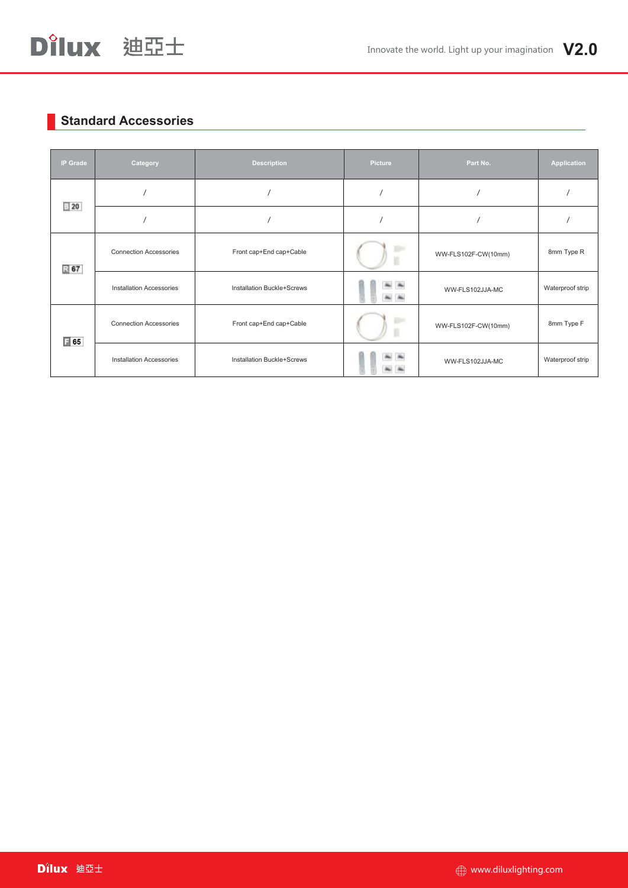# **Standard Accessories**

| <b>IP Grade</b>                 | Category                        | <b>Description</b>                | Picture          | Part No.            | Application      |
|---------------------------------|---------------------------------|-----------------------------------|------------------|---------------------|------------------|
| $\equiv 20$                     |                                 |                                   |                  |                     |                  |
|                                 |                                 |                                   |                  |                     |                  |
| 385                             | <b>Connection Accessories</b>   | Front cap+End cap+Cable           |                  | WW-FLS102F-CW(10mm) | 8mm Type R       |
| <b>Installation Accessories</b> |                                 | <b>Installation Buckle+Screws</b> | $\sim$           | WW-FLS102JJA-MC     |                  |
| $\boxed{1}$ 65                  | <b>Connection Accessories</b>   | Front cap+End cap+Cable           | <b>Died</b><br>к | WW-FLS102F-CW(10mm) | 8mm Type F       |
|                                 | <b>Installation Accessories</b> | Installation Buckle+Screws        |                  | WW-FLS102JJA-MC     | Waterproof strip |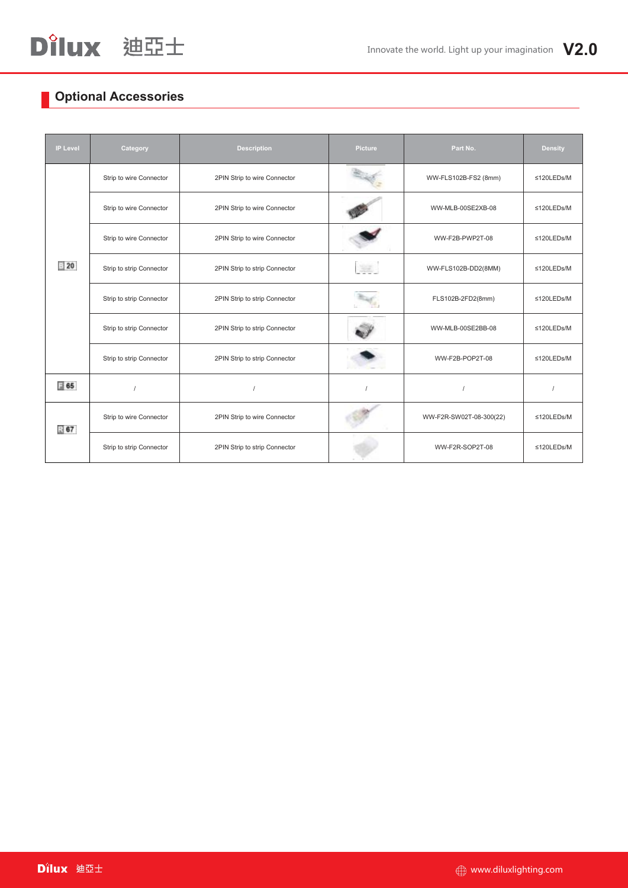# **Optional Accessories**

| <b>IP Level</b> | Category                 | <b>Description</b>            | Picture | Part No.                | <b>Density</b> |
|-----------------|--------------------------|-------------------------------|---------|-------------------------|----------------|
|                 | Strip to wire Connector  | 2PIN Strip to wire Connector  |         | WW-FLS102B-FS2 (8mm)    | ≤120LEDs/M     |
|                 | Strip to wire Connector  | 2PIN Strip to wire Connector  |         | WW-MLB-00SE2XB-08       | ≤120LEDs/M     |
|                 | Strip to wire Connector  | 2PIN Strip to wire Connector  |         | WW-F2B-PWP2T-08         | ≤120LEDs/M     |
| $\equiv$ 20     | Strip to strip Connector | 2PIN Strip to strip Connector | Sent.   | WW-FLS102B-DD2(8MM)     | ≤120LEDs/M     |
|                 | Strip to strip Connector | 2PIN Strip to strip Connector |         | FLS102B-2FD2(8mm)       | ≤120LEDs/M     |
|                 | Strip to strip Connector | 2PIN Strip to strip Connector |         | WW-MLB-00SE2BB-08       | ≤120LEDs/M     |
|                 | Strip to strip Connector | 2PIN Strip to strip Connector |         | WW-F2B-POP2T-08         | ≤120LEDs/M     |
| $\equiv$ 65     |                          |                               |         |                         |                |
| $\mathbb{R}$ 67 | Strip to wire Connector  | 2PIN Strip to wire Connector  |         | WW-F2R-SW02T-08-300(22) | ≤120LEDs/M     |
|                 | Strip to strip Connector | 2PIN Strip to strip Connector |         | WW-F2R-SOP2T-08         | ≤120LEDs/M     |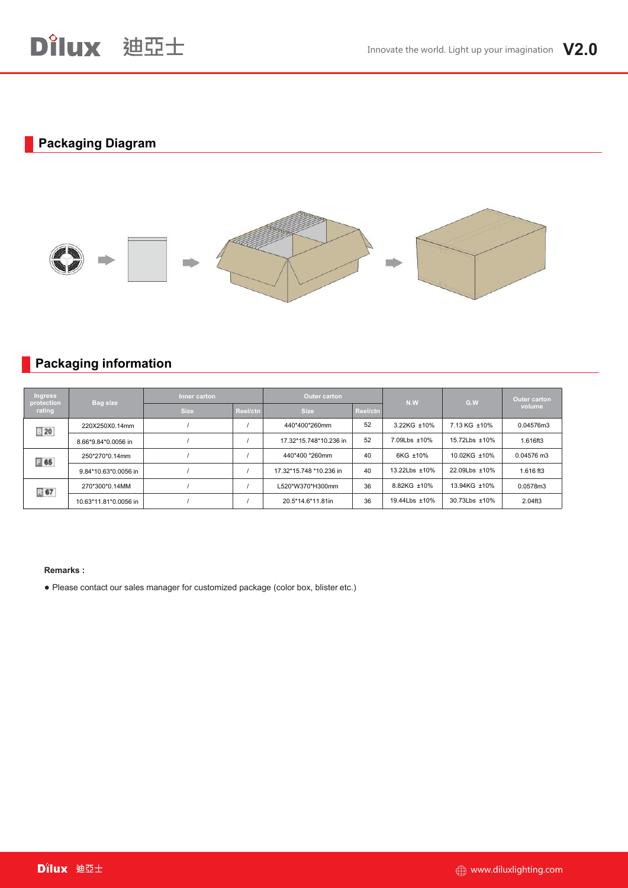## **Packaging Diagram**



## **Packaging information**

| <b>Ingress</b><br>Bag size<br>protection<br>rating |                       | Inner carton |          | Outer carton            |          | N.W           | G.W           | <b>Outer carton</b><br>volume |
|----------------------------------------------------|-----------------------|--------------|----------|-------------------------|----------|---------------|---------------|-------------------------------|
|                                                    |                       | <b>Size</b>  | Reel/ctn | <b>Size</b>             | Reel/ctn |               |               |                               |
| $\equiv 20$                                        | 220X250X0.14mm        |              |          | 440*400*260mm           | 52       | 3.22KG ±10%   | 7.13 KG ±10%  | 0.04576m3                     |
|                                                    | 8.66*9.84*0.0056 in   |              |          | 17.32*15.748*10.236 in  | 52       | 7.09Lbs ±10%  | 15.72Lbs ±10% | 1.616ft3                      |
| $\equiv$ 65                                        | 250*270*0.14mm        |              |          | 440*400 *260mm          | 40       | 6KG ±10%      | 10.02KG ±10%  | 0.04576 m3                    |
|                                                    | 9.84*10.63*0.0056 in  |              |          | 17.32*15.748 *10.236 in | 40       | 13.22Lbs ±10% | 22.09Lbs ±10% | 1.616 ft3                     |
| 图 67                                               | 270*300*0.14MM        |              |          | L520*W370*H300mm        | 36       | 8.82KG ±10%   | 13.94KG ±10%  | 0.0578m3                      |
|                                                    | 10.63*11.81*0.0056 in |              |          | 20.5*14.6*11.81in       | 36       | 19.44Lbs ±10% | 30.73Lbs ±10% | 2.04ft3                       |

#### **Remarks :**

● Please contact our sales manager for customized package (color box, blister etc.)